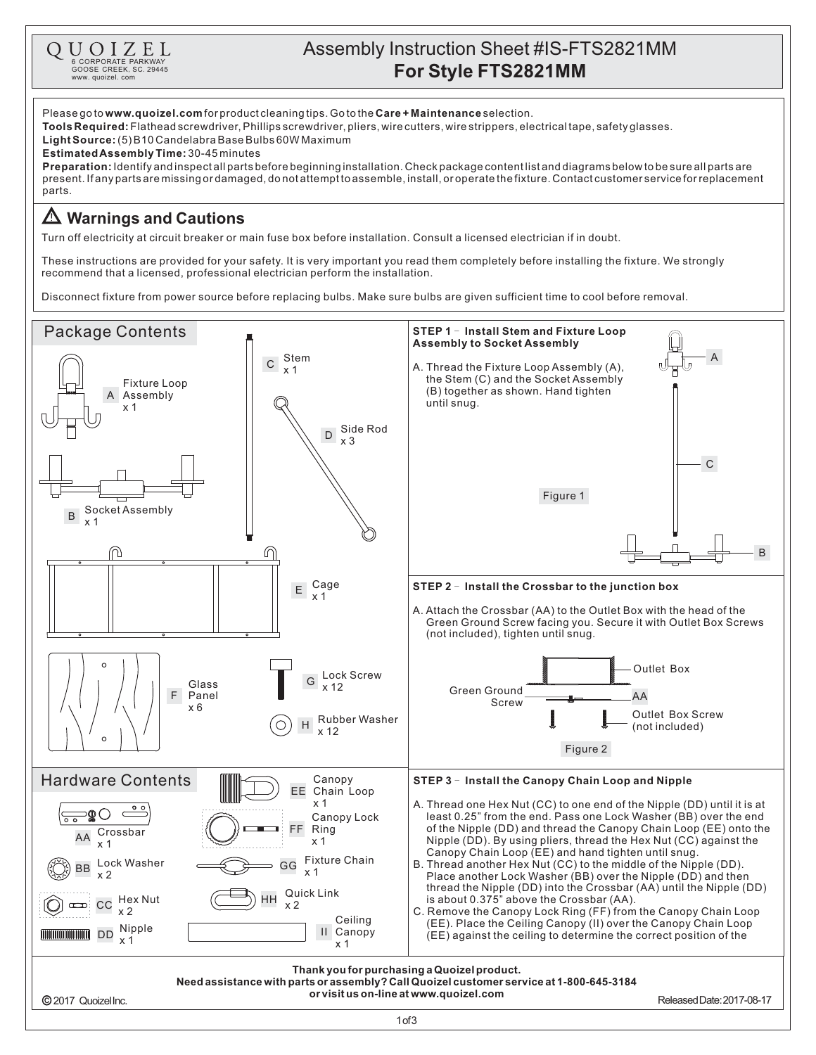

# Assembly Instruction Sheet #IS-FTS2821MM **Q**  $\underset{\text{GCORE ORPORATE PARKWAY}}{\text{G CORPORATE PARKWAY}}$  **For Style FTS2821MM**<br>  $\underset{\text{WWW, duoizel, com}}{\text{GCOSE CREG. COM}}$

Please go to www.quoizel.com for product cleaning tips. Go to the Care + Maintenance selection. (5)B10CandelabraBaseBulbs60WMaximum **LightSource: Estimated Assembly Time:** 30-45 minutes Identifyandinspectallpartsbeforebeginninginstallation.Checkpackagecontentlistanddiagramsbelowtobesureallpartsare **Preparation:** present.Ifanypartsaremissingordamaged,donotattempttoassemble,install,oroperatethefixture.Contactcustomerserviceforreplacement parts. **Tools Required:** Flathead screwdriver, Phillips screwdriver, pliers, wire cutters, wire strippers, electrical tape, safety glasses. **Warnings and Cautions**

Turn off electricity at circuit breaker or main fuse box before installation. Consult a licensed electrician if in doubt.

These instructions are provided for your safety. It is very important you read them completely before installing the fixture. We strongly recommend that a licensed, professional electrician perform the installation.

Disconnect fixture from power source before replacing bulbs. Make sure bulbs are given sufficient time to cool before removal.

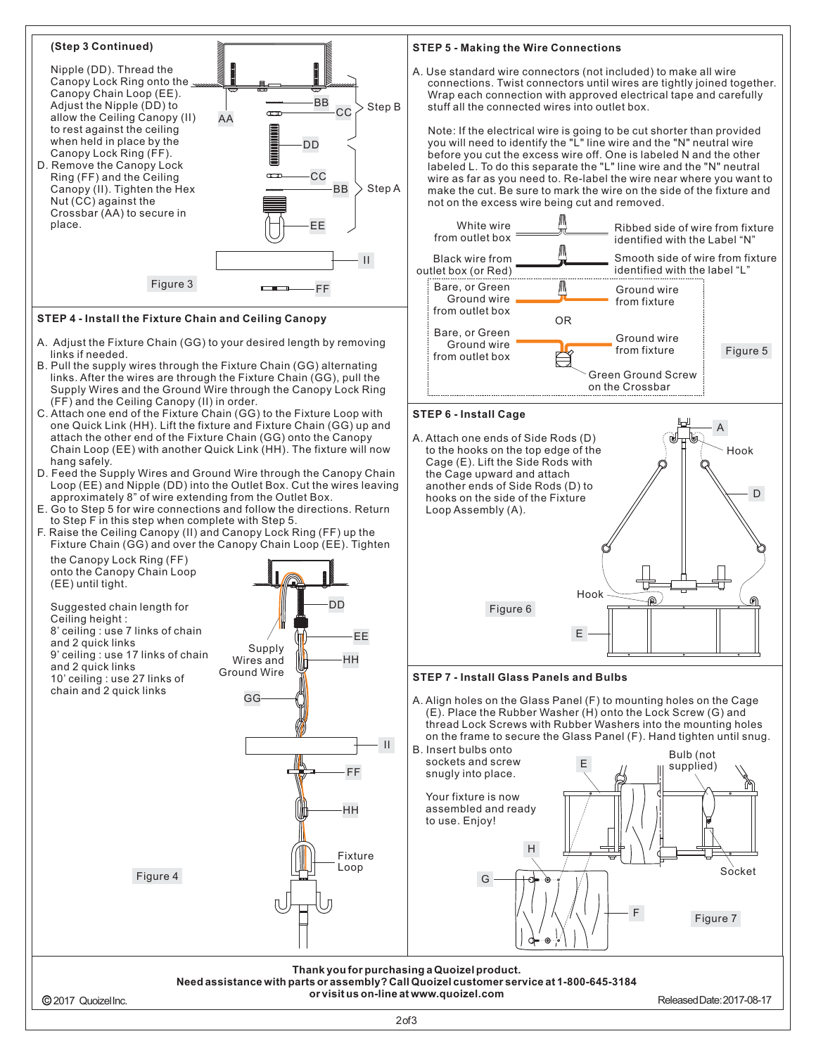#### **(Step 3 Continued)** Nipple (DD). Thread the Canopy Lock Ring onto the Canopy Chain Loop (EE). BB Adjust the Nipple (DD) to  $_{\rm CC}$  Step B  $\infty$ allow the Ceiling Canopy (II) AA to rest against the ceiling when held in place by the DD Canopy Lock Ring (FF). D. Remove the Canopy Lock Ring (FF) and the Ceiling **CC** BB Canopy (II). Tighten the Hex Step A Nut (CC) against the Crossbar (AA) to secure in place. EE II  $Figure 3$

# **STEP 4 - Install the Fixture Chain and Ceiling Canopy**

- A. Adjust the Fixture Chain (GG) to your desired length by removing links if needed.
- B. Pull the supply wires through the Fixture Chain (GG) alternating links. After the wires are through the Fixture Chain (GG), pull the Supply Wires and the Ground Wire through the Canopy Lock Ring (FF) and the Ceiling Canopy (II) in order.
- C. Attach one end of the Fixture Chain (GG) to the Fixture Loop with one Quick Link (HH). Lift the fixture and Fixture Chain (GG) up and attach the other end of the Fixture Chain (GG) onto the Canopy Chain Loop (EE) with another Quick Link (HH). The fixture will now hang safely.
- D. Feed the Supply Wires and Ground Wire through the Canopy Chain Loop (EE) and Nipple (DD) into the Outlet Box. Cut the wires leaving approximately 8" of wire extending from the Outlet Box.
- E. Go to Step 5 for wire connections and follow the directions. Return to Step F in this step when complete with Step 5.
- F. Raise the Ceiling Canopy (II) and Canopy Lock Ring (FF) up the Fixture Chain (GG) and over the Canopy Chain Loop (EE). Tighten



#### **STEP 5 - Making the Wire Connections**

A. Use standard wire connectors (not included) to make all wire connections. Twist connectors until wires are tightly joined together. Wrap each connection with approved electrical tape and carefully stuff all the connected wires into outlet box.

Note: If the electrical wire is going to be cut shorter than provided you will need to identify the "L" line wire and the "N" neutral wire before you cut the excess wire off. One is labeled N and the other labeled L. To do this separate the "L" line wire and the "N" neutral wire as far as you need to. Re-label the wire near where you want to make the cut. Be sure to mark the wire on the side of the fixture and not on the excess wire being cut and removed.



# **STEP 6 - Install Cage**

A. Attach one ends of Side Rods (D) to the hooks on the top edge of the Cage (E). Lift the Side Rods with the Cage upward and attach another ends of Side Rods (D) to hooks on the side of the Fixture Loop Assembly (A).



### **STEP 7 - Install Glass Panels and Bulbs**

A. Align holes on the Glass Panel (F) to mounting holes on the Cage (E). Place the Rubber Washer (H) onto the Lock Screw (G) and thread Lock Screws with Rubber Washers into the mounting holes on the frame to secure the Glass Panel (F). Hand tighten until snug.

டி



**Thank youfor purchasinga Quoizelproduct. Needassistance withparts or assembly?CallQuoizelcustomer service at 1-800-645-3184**

2017 QuoizelInc.

**or visit us on-line at www.quoizel.com** 

Hook

D

இ

A